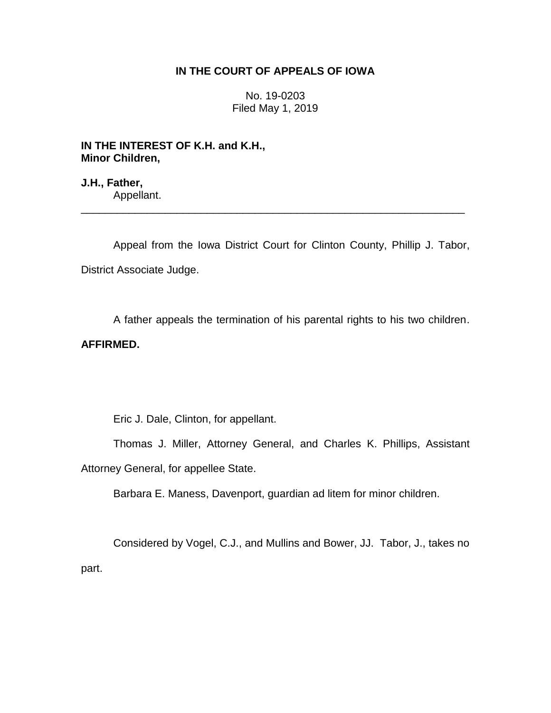## **IN THE COURT OF APPEALS OF IOWA**

No. 19-0203 Filed May 1, 2019

**IN THE INTEREST OF K.H. and K.H., Minor Children,**

**J.H., Father,** Appellant.

Appeal from the Iowa District Court for Clinton County, Phillip J. Tabor, District Associate Judge.

\_\_\_\_\_\_\_\_\_\_\_\_\_\_\_\_\_\_\_\_\_\_\_\_\_\_\_\_\_\_\_\_\_\_\_\_\_\_\_\_\_\_\_\_\_\_\_\_\_\_\_\_\_\_\_\_\_\_\_\_\_\_\_\_

A father appeals the termination of his parental rights to his two children.

## **AFFIRMED.**

Eric J. Dale, Clinton, for appellant.

Thomas J. Miller, Attorney General, and Charles K. Phillips, Assistant Attorney General, for appellee State.

Barbara E. Maness, Davenport, guardian ad litem for minor children.

Considered by Vogel, C.J., and Mullins and Bower, JJ. Tabor, J., takes no part.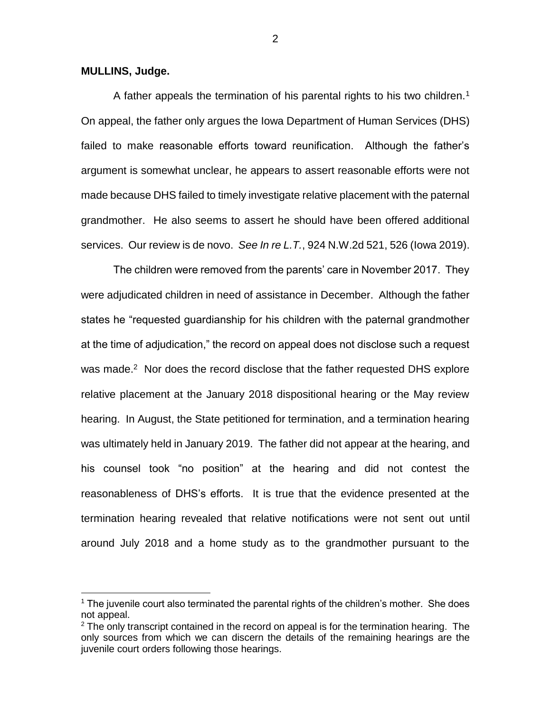**MULLINS, Judge.**

 $\overline{a}$ 

A father appeals the termination of his parental rights to his two children.<sup>1</sup> On appeal, the father only argues the Iowa Department of Human Services (DHS) failed to make reasonable efforts toward reunification. Although the father's argument is somewhat unclear, he appears to assert reasonable efforts were not made because DHS failed to timely investigate relative placement with the paternal grandmother. He also seems to assert he should have been offered additional services. Our review is de novo. *See In re L.T.*, 924 N.W.2d 521, 526 (Iowa 2019).

The children were removed from the parents' care in November 2017. They were adjudicated children in need of assistance in December. Although the father states he "requested guardianship for his children with the paternal grandmother at the time of adjudication," the record on appeal does not disclose such a request was made.<sup>2</sup> Nor does the record disclose that the father requested DHS explore relative placement at the January 2018 dispositional hearing or the May review hearing. In August, the State petitioned for termination, and a termination hearing was ultimately held in January 2019. The father did not appear at the hearing, and his counsel took "no position" at the hearing and did not contest the reasonableness of DHS's efforts. It is true that the evidence presented at the termination hearing revealed that relative notifications were not sent out until around July 2018 and a home study as to the grandmother pursuant to the

2

 $<sup>1</sup>$  The juvenile court also terminated the parental rights of the children's mother. She does</sup> not appeal.

 $2$  The only transcript contained in the record on appeal is for the termination hearing. The only sources from which we can discern the details of the remaining hearings are the juvenile court orders following those hearings.